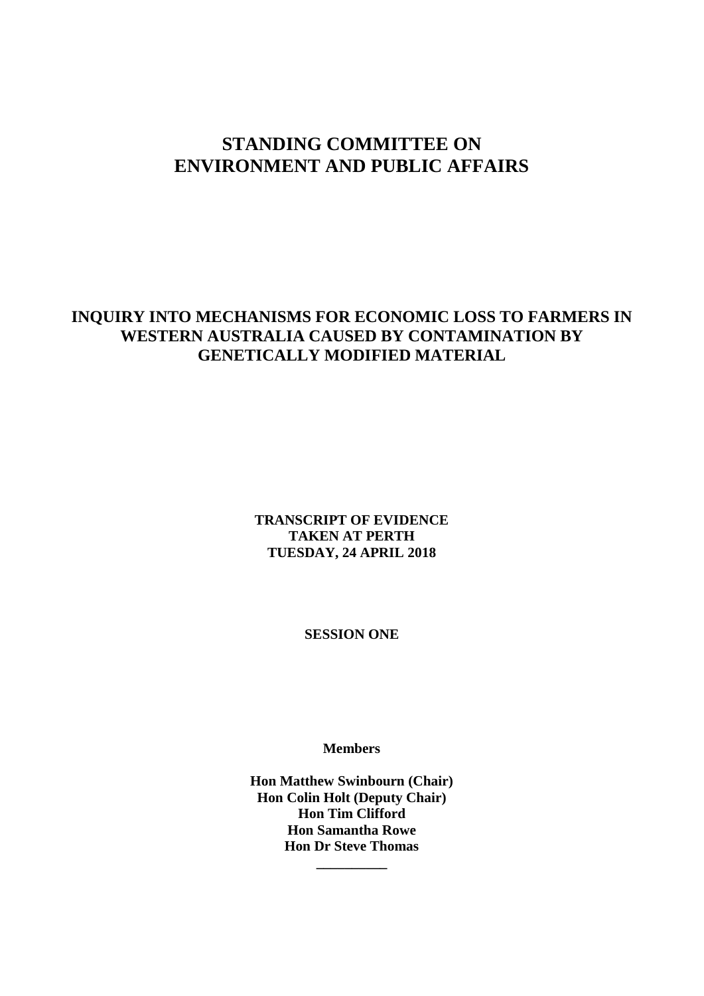# **STANDING COMMITTEE ON ENVIRONMENT AND PUBLIC AFFAIRS**

## **INQUIRY INTO MECHANISMS FOR ECONOMIC LOSS TO FARMERS IN WESTERN AUSTRALIA CAUSED BY CONTAMINATION BY GENETICALLY MODIFIED MATERIAL**

**TRANSCRIPT OF EVIDENCE TAKEN AT PERTH TUESDAY, 24 APRIL 2018**

**SESSION ONE**

**Members**

**Hon Matthew Swinbourn (Chair) Hon Colin Holt (Deputy Chair) Hon Tim Clifford Hon Samantha Rowe Hon Dr Steve Thomas \_\_\_\_\_\_\_\_\_\_**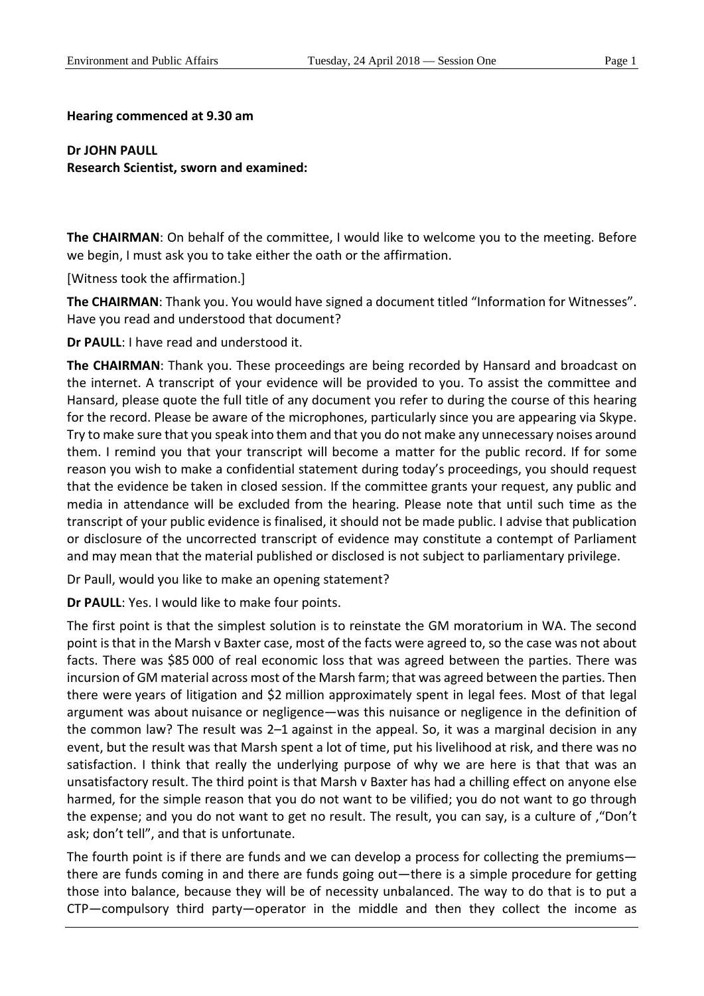### **Hearing commenced at 9.30 am**

**Dr JOHN PAULL Research Scientist, sworn and examined:**

**The CHAIRMAN**: On behalf of the committee, I would like to welcome you to the meeting. Before we begin, I must ask you to take either the oath or the affirmation.

[Witness took the affirmation.]

**The CHAIRMAN:** Thank you. You would have signed a document titled "Information for Witnesses". Have you read and understood that document?

**Dr PAULL**: I have read and understood it.

**The CHAIRMAN**: Thank you. These proceedings are being recorded by Hansard and broadcast on the internet. A transcript of your evidence will be provided to you. To assist the committee and Hansard, please quote the full title of any document you refer to during the course of this hearing for the record. Please be aware of the microphones, particularly since you are appearing via Skype. Try to make sure that you speak into them and that you do not make any unnecessary noises around them. I remind you that your transcript will become a matter for the public record. If for some reason you wish to make a confidential statement during today's proceedings, you should request that the evidence be taken in closed session. If the committee grants your request, any public and media in attendance will be excluded from the hearing. Please note that until such time as the transcript of your public evidence is finalised, it should not be made public. I advise that publication or disclosure of the uncorrected transcript of evidence may constitute a contempt of Parliament and may mean that the material published or disclosed is not subject to parliamentary privilege.

Dr Paull, would you like to make an opening statement?

**Dr PAULL**: Yes. I would like to make four points.

The first point is that the simplest solution is to reinstate the GM moratorium in WA. The second point is that in the Marsh v Baxter case, most of the facts were agreed to, so the case was not about facts. There was \$85 000 of real economic loss that was agreed between the parties. There was incursion of GM material across most of the Marsh farm; that was agreed between the parties. Then there were years of litigation and \$2 million approximately spent in legal fees. Most of that legal argument was about nuisance or negligence—was this nuisance or negligence in the definition of the common law? The result was 2–1 against in the appeal. So, it was a marginal decision in any event, but the result was that Marsh spent a lot of time, put his livelihood at risk, and there was no satisfaction. I think that really the underlying purpose of why we are here is that that was an unsatisfactory result. The third point is that Marsh v Baxter has had a chilling effect on anyone else harmed, for the simple reason that you do not want to be vilified; you do not want to go through the expense; and you do not want to get no result. The result, you can say, is a culture of ,"Don't ask; don't tell", and that is unfortunate.

The fourth point is if there are funds and we can develop a process for collecting the premiums there are funds coming in and there are funds going out—there is a simple procedure for getting those into balance, because they will be of necessity unbalanced. The way to do that is to put a CTP—compulsory third party—operator in the middle and then they collect the income as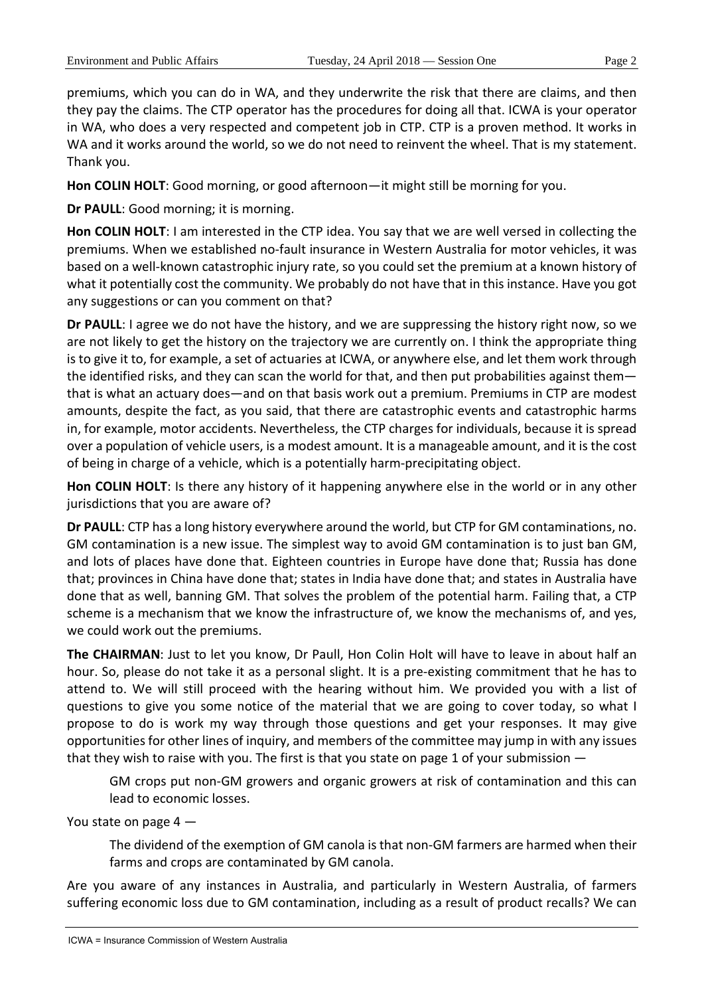premiums, which you can do in WA, and they underwrite the risk that there are claims, and then they pay the claims. The CTP operator has the procedures for doing all that. ICWA is your operator in WA, who does a very respected and competent job in CTP. CTP is a proven method. It works in WA and it works around the world, so we do not need to reinvent the wheel. That is my statement. Thank you.

**Hon COLIN HOLT**: Good morning, or good afternoon—it might still be morning for you.

**Dr PAULL**: Good morning; it is morning.

**Hon COLIN HOLT**: I am interested in the CTP idea. You say that we are well versed in collecting the premiums. When we established no-fault insurance in Western Australia for motor vehicles, it was based on a well-known catastrophic injury rate, so you could set the premium at a known history of what it potentially cost the community. We probably do not have that in this instance. Have you got any suggestions or can you comment on that?

**Dr PAULL**: I agree we do not have the history, and we are suppressing the history right now, so we are not likely to get the history on the trajectory we are currently on. I think the appropriate thing is to give it to, for example, a set of actuaries at ICWA, or anywhere else, and let them work through the identified risks, and they can scan the world for that, and then put probabilities against them that is what an actuary does—and on that basis work out a premium. Premiums in CTP are modest amounts, despite the fact, as you said, that there are catastrophic events and catastrophic harms in, for example, motor accidents. Nevertheless, the CTP charges for individuals, because it is spread over a population of vehicle users, is a modest amount. It is a manageable amount, and it is the cost of being in charge of a vehicle, which is a potentially harm-precipitating object.

**Hon COLIN HOLT**: Is there any history of it happening anywhere else in the world or in any other jurisdictions that you are aware of?

**Dr PAULL**: CTP has a long history everywhere around the world, but CTP for GM contaminations, no. GM contamination is a new issue. The simplest way to avoid GM contamination is to just ban GM, and lots of places have done that. Eighteen countries in Europe have done that; Russia has done that; provinces in China have done that; states in India have done that; and states in Australia have done that as well, banning GM. That solves the problem of the potential harm. Failing that, a CTP scheme is a mechanism that we know the infrastructure of, we know the mechanisms of, and yes, we could work out the premiums.

**The CHAIRMAN**: Just to let you know, Dr Paull, Hon Colin Holt will have to leave in about half an hour. So, please do not take it as a personal slight. It is a pre-existing commitment that he has to attend to. We will still proceed with the hearing without him. We provided you with a list of questions to give you some notice of the material that we are going to cover today, so what I propose to do is work my way through those questions and get your responses. It may give opportunities for other lines of inquiry, and members of the committee may jump in with any issues that they wish to raise with you. The first is that you state on page 1 of your submission —

GM crops put non-GM growers and organic growers at risk of contamination and this can lead to economic losses.

You state on page 4 —

The dividend of the exemption of GM canola is that non-GM farmers are harmed when their farms and crops are contaminated by GM canola.

Are you aware of any instances in Australia, and particularly in Western Australia, of farmers suffering economic loss due to GM contamination, including as a result of product recalls? We can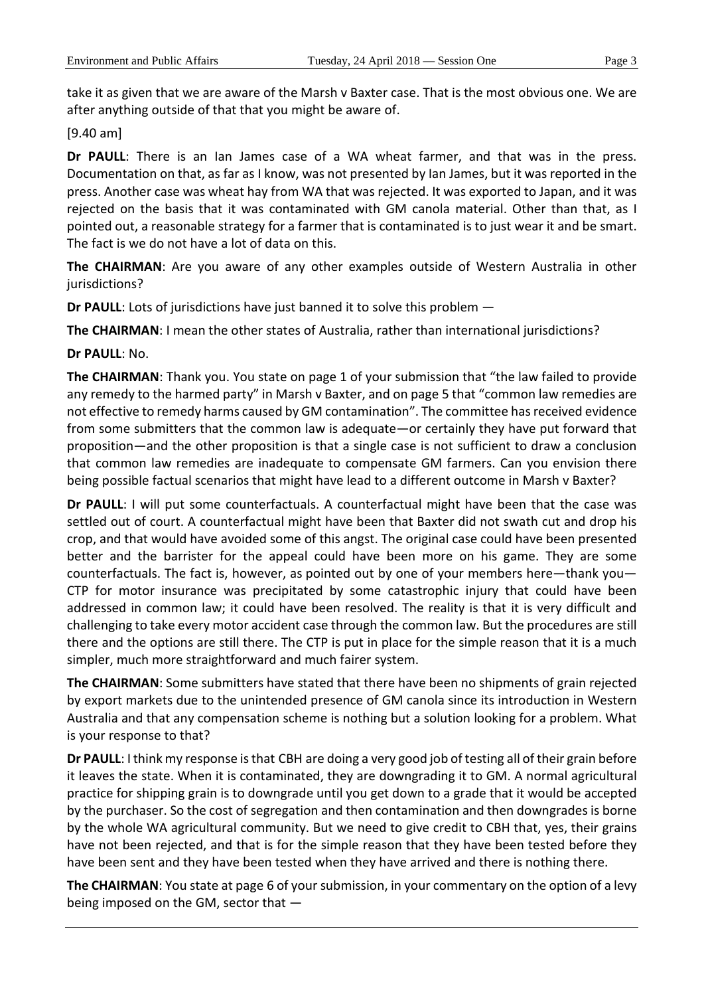take it as given that we are aware of the Marsh v Baxter case. That is the most obvious one. We are after anything outside of that that you might be aware of.

[9.40 am]

**Dr PAULL**: There is an Ian James case of a WA wheat farmer, and that was in the press. Documentation on that, as far as I know, was not presented by Ian James, but it was reported in the press. Another case was wheat hay from WA that was rejected. It was exported to Japan, and it was rejected on the basis that it was contaminated with GM canola material. Other than that, as I pointed out, a reasonable strategy for a farmer that is contaminated is to just wear it and be smart. The fact is we do not have a lot of data on this.

**The CHAIRMAN**: Are you aware of any other examples outside of Western Australia in other jurisdictions?

**Dr PAULL**: Lots of jurisdictions have just banned it to solve this problem —

**The CHAIRMAN**: I mean the other states of Australia, rather than international jurisdictions?

**Dr PAULL**: No.

**The CHAIRMAN**: Thank you. You state on page 1 of your submission that "the law failed to provide any remedy to the harmed party" in Marsh v Baxter, and on page 5 that "common law remedies are not effective to remedy harms caused by GM contamination". The committee has received evidence from some submitters that the common law is adequate—or certainly they have put forward that proposition—and the other proposition is that a single case is not sufficient to draw a conclusion that common law remedies are inadequate to compensate GM farmers. Can you envision there being possible factual scenarios that might have lead to a different outcome in Marsh v Baxter?

**Dr PAULL**: I will put some counterfactuals. A counterfactual might have been that the case was settled out of court. A counterfactual might have been that Baxter did not swath cut and drop his crop, and that would have avoided some of this angst. The original case could have been presented better and the barrister for the appeal could have been more on his game. They are some counterfactuals. The fact is, however, as pointed out by one of your members here—thank you— CTP for motor insurance was precipitated by some catastrophic injury that could have been addressed in common law; it could have been resolved. The reality is that it is very difficult and challenging to take every motor accident case through the common law. But the procedures are still there and the options are still there. The CTP is put in place for the simple reason that it is a much simpler, much more straightforward and much fairer system.

**The CHAIRMAN**: Some submitters have stated that there have been no shipments of grain rejected by export markets due to the unintended presence of GM canola since its introduction in Western Australia and that any compensation scheme is nothing but a solution looking for a problem. What is your response to that?

**Dr PAULL**: I think my response is that CBH are doing a very good job of testing all of their grain before it leaves the state. When it is contaminated, they are downgrading it to GM. A normal agricultural practice for shipping grain is to downgrade until you get down to a grade that it would be accepted by the purchaser. So the cost of segregation and then contamination and then downgrades is borne by the whole WA agricultural community. But we need to give credit to CBH that, yes, their grains have not been rejected, and that is for the simple reason that they have been tested before they have been sent and they have been tested when they have arrived and there is nothing there.

**The CHAIRMAN**: You state at page 6 of your submission, in your commentary on the option of a levy being imposed on the GM, sector that —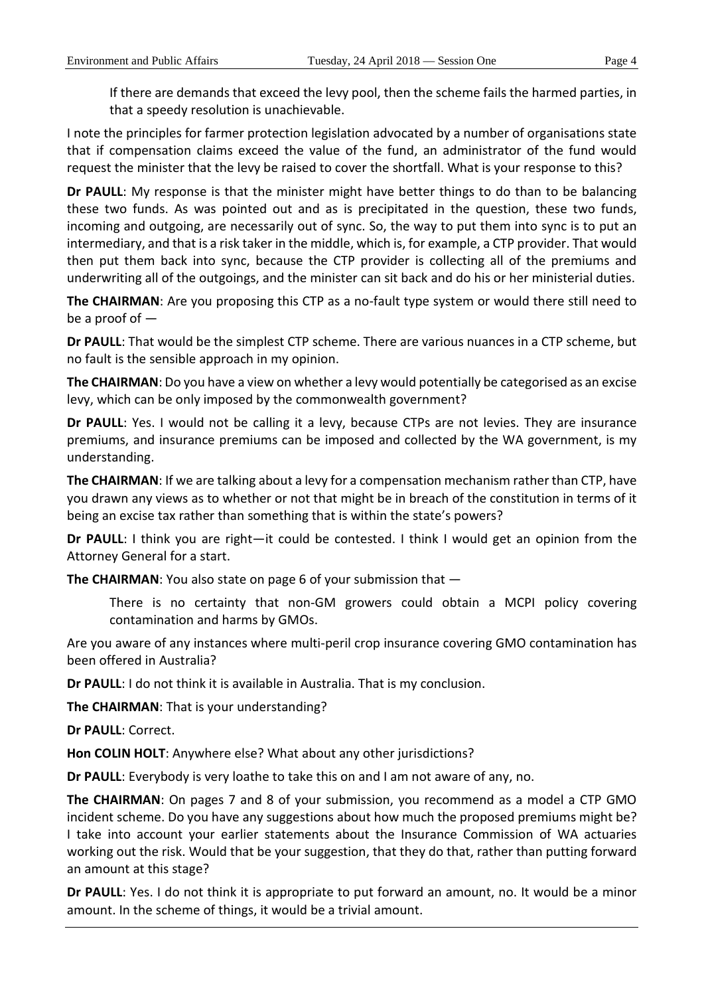If there are demands that exceed the levy pool, then the scheme fails the harmed parties, in that a speedy resolution is unachievable.

I note the principles for farmer protection legislation advocated by a number of organisations state that if compensation claims exceed the value of the fund, an administrator of the fund would request the minister that the levy be raised to cover the shortfall. What is your response to this?

**Dr PAULL**: My response is that the minister might have better things to do than to be balancing these two funds. As was pointed out and as is precipitated in the question, these two funds, incoming and outgoing, are necessarily out of sync. So, the way to put them into sync is to put an intermediary, and that is a risk taker in the middle, which is, for example, a CTP provider. That would then put them back into sync, because the CTP provider is collecting all of the premiums and underwriting all of the outgoings, and the minister can sit back and do his or her ministerial duties.

**The CHAIRMAN**: Are you proposing this CTP as a no-fault type system or would there still need to be a proof of  $-$ 

**Dr PAULL**: That would be the simplest CTP scheme. There are various nuances in a CTP scheme, but no fault is the sensible approach in my opinion.

**The CHAIRMAN**: Do you have a view on whether a levy would potentially be categorised as an excise levy, which can be only imposed by the commonwealth government?

**Dr PAULL**: Yes. I would not be calling it a levy, because CTPs are not levies. They are insurance premiums, and insurance premiums can be imposed and collected by the WA government, is my understanding.

**The CHAIRMAN**: If we are talking about a levy for a compensation mechanism rather than CTP, have you drawn any views as to whether or not that might be in breach of the constitution in terms of it being an excise tax rather than something that is within the state's powers?

**Dr PAULL**: I think you are right—it could be contested. I think I would get an opinion from the Attorney General for a start.

**The CHAIRMAN**: You also state on page 6 of your submission that —

There is no certainty that non-GM growers could obtain a MCPI policy covering contamination and harms by GMOs.

Are you aware of any instances where multi-peril crop insurance covering GMO contamination has been offered in Australia?

**Dr PAULL**: I do not think it is available in Australia. That is my conclusion.

**The CHAIRMAN**: That is your understanding?

**Dr PAULL**: Correct.

**Hon COLIN HOLT**: Anywhere else? What about any other jurisdictions?

**Dr PAULL**: Everybody is very loathe to take this on and I am not aware of any, no.

**The CHAIRMAN**: On pages 7 and 8 of your submission, you recommend as a model a CTP GMO incident scheme. Do you have any suggestions about how much the proposed premiums might be? I take into account your earlier statements about the Insurance Commission of WA actuaries working out the risk. Would that be your suggestion, that they do that, rather than putting forward an amount at this stage?

**Dr PAULL**: Yes. I do not think it is appropriate to put forward an amount, no. It would be a minor amount. In the scheme of things, it would be a trivial amount.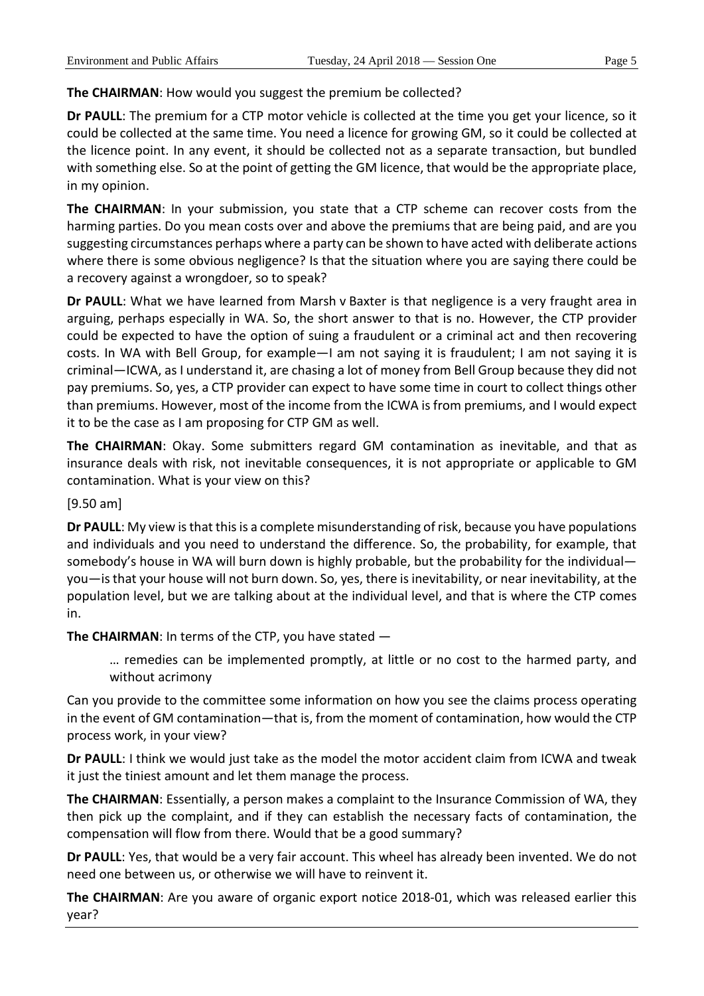**The CHAIRMAN**: How would you suggest the premium be collected?

**Dr PAULL**: The premium for a CTP motor vehicle is collected at the time you get your licence, so it could be collected at the same time. You need a licence for growing GM, so it could be collected at the licence point. In any event, it should be collected not as a separate transaction, but bundled with something else. So at the point of getting the GM licence, that would be the appropriate place, in my opinion.

**The CHAIRMAN**: In your submission, you state that a CTP scheme can recover costs from the harming parties. Do you mean costs over and above the premiums that are being paid, and are you suggesting circumstances perhaps where a party can be shown to have acted with deliberate actions where there is some obvious negligence? Is that the situation where you are saying there could be a recovery against a wrongdoer, so to speak?

**Dr PAULL**: What we have learned from Marsh v Baxter is that negligence is a very fraught area in arguing, perhaps especially in WA. So, the short answer to that is no. However, the CTP provider could be expected to have the option of suing a fraudulent or a criminal act and then recovering costs. In WA with Bell Group, for example—I am not saying it is fraudulent; I am not saying it is criminal—ICWA, as I understand it, are chasing a lot of money from Bell Group because they did not pay premiums. So, yes, a CTP provider can expect to have some time in court to collect things other than premiums. However, most of the income from the ICWA is from premiums, and I would expect it to be the case as I am proposing for CTP GM as well.

**The CHAIRMAN**: Okay. Some submitters regard GM contamination as inevitable, and that as insurance deals with risk, not inevitable consequences, it is not appropriate or applicable to GM contamination. What is your view on this?

[9.50 am]

**Dr PAULL**: My view is that this is a complete misunderstanding of risk, because you have populations and individuals and you need to understand the difference. So, the probability, for example, that somebody's house in WA will burn down is highly probable, but the probability for the individual you—is that your house will not burn down. So, yes, there is inevitability, or near inevitability, at the population level, but we are talking about at the individual level, and that is where the CTP comes in.

**The CHAIRMAN**: In terms of the CTP, you have stated —

… remedies can be implemented promptly, at little or no cost to the harmed party, and without acrimony

Can you provide to the committee some information on how you see the claims process operating in the event of GM contamination—that is, from the moment of contamination, how would the CTP process work, in your view?

**Dr PAULL**: I think we would just take as the model the motor accident claim from ICWA and tweak it just the tiniest amount and let them manage the process.

**The CHAIRMAN**: Essentially, a person makes a complaint to the Insurance Commission of WA, they then pick up the complaint, and if they can establish the necessary facts of contamination, the compensation will flow from there. Would that be a good summary?

**Dr PAULL**: Yes, that would be a very fair account. This wheel has already been invented. We do not need one between us, or otherwise we will have to reinvent it.

**The CHAIRMAN**: Are you aware of organic export notice 2018-01, which was released earlier this year?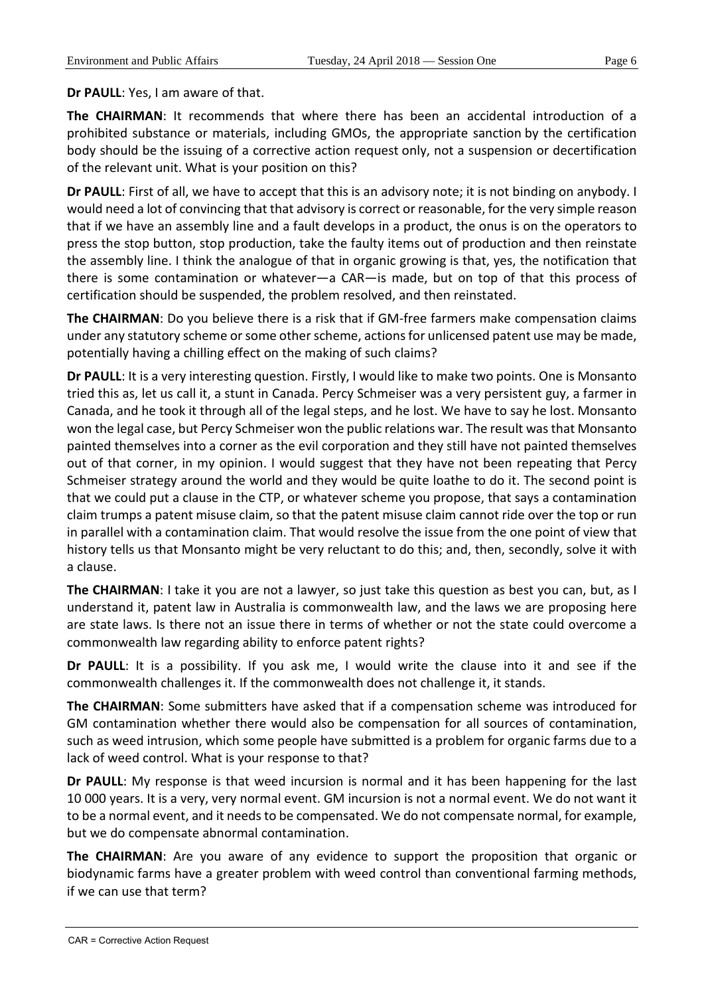**Dr PAULL**: Yes, I am aware of that.

**The CHAIRMAN**: It recommends that where there has been an accidental introduction of a prohibited substance or materials, including GMOs, the appropriate sanction by the certification body should be the issuing of a corrective action request only, not a suspension or decertification of the relevant unit. What is your position on this?

**Dr PAULL**: First of all, we have to accept that this is an advisory note; it is not binding on anybody. I would need a lot of convincing that that advisory is correct or reasonable, for the very simple reason that if we have an assembly line and a fault develops in a product, the onus is on the operators to press the stop button, stop production, take the faulty items out of production and then reinstate the assembly line. I think the analogue of that in organic growing is that, yes, the notification that there is some contamination or whatever—a CAR—is made, but on top of that this process of certification should be suspended, the problem resolved, and then reinstated.

**The CHAIRMAN**: Do you believe there is a risk that if GM-free farmers make compensation claims under any statutory scheme or some other scheme, actions for unlicensed patent use may be made, potentially having a chilling effect on the making of such claims?

**Dr PAULL**: It is a very interesting question. Firstly, I would like to make two points. One is Monsanto tried this as, let us call it, a stunt in Canada. Percy Schmeiser was a very persistent guy, a farmer in Canada, and he took it through all of the legal steps, and he lost. We have to say he lost. Monsanto won the legal case, but Percy Schmeiser won the public relations war. The result was that Monsanto painted themselves into a corner as the evil corporation and they still have not painted themselves out of that corner, in my opinion. I would suggest that they have not been repeating that Percy Schmeiser strategy around the world and they would be quite loathe to do it. The second point is that we could put a clause in the CTP, or whatever scheme you propose, that says a contamination claim trumps a patent misuse claim, so that the patent misuse claim cannot ride over the top or run in parallel with a contamination claim. That would resolve the issue from the one point of view that history tells us that Monsanto might be very reluctant to do this; and, then, secondly, solve it with a clause.

**The CHAIRMAN**: I take it you are not a lawyer, so just take this question as best you can, but, as I understand it, patent law in Australia is commonwealth law, and the laws we are proposing here are state laws. Is there not an issue there in terms of whether or not the state could overcome a commonwealth law regarding ability to enforce patent rights?

**Dr PAULL**: It is a possibility. If you ask me, I would write the clause into it and see if the commonwealth challenges it. If the commonwealth does not challenge it, it stands.

**The CHAIRMAN**: Some submitters have asked that if a compensation scheme was introduced for GM contamination whether there would also be compensation for all sources of contamination, such as weed intrusion, which some people have submitted is a problem for organic farms due to a lack of weed control. What is your response to that?

**Dr PAULL**: My response is that weed incursion is normal and it has been happening for the last 10 000 years. It is a very, very normal event. GM incursion is not a normal event. We do not want it to be a normal event, and it needs to be compensated. We do not compensate normal, for example, but we do compensate abnormal contamination.

**The CHAIRMAN**: Are you aware of any evidence to support the proposition that organic or biodynamic farms have a greater problem with weed control than conventional farming methods, if we can use that term?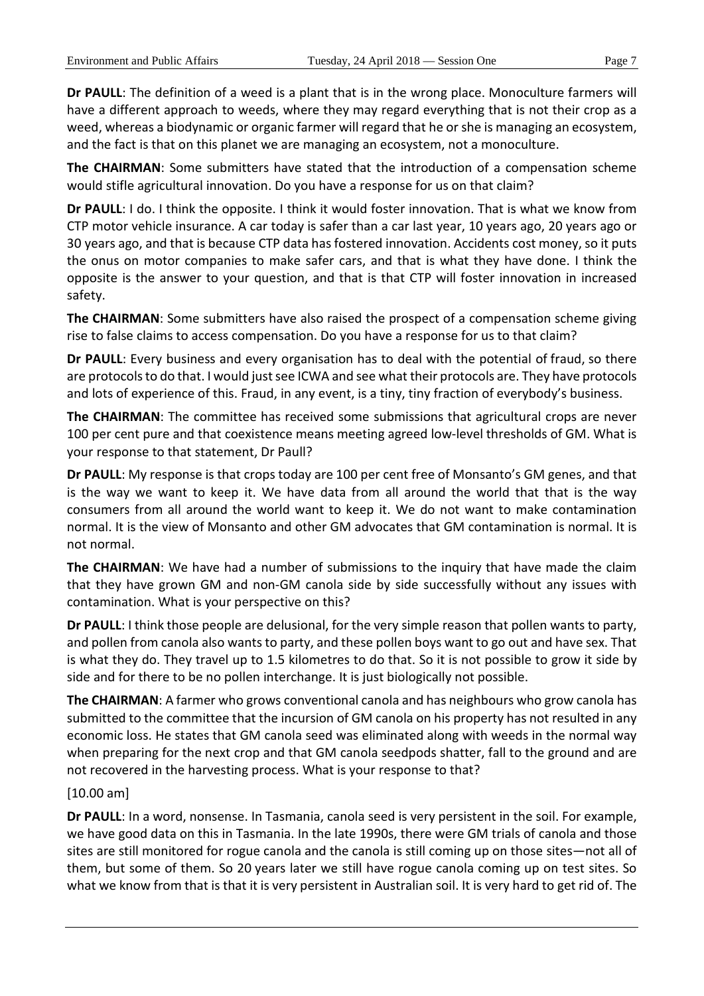**Dr PAULL**: The definition of a weed is a plant that is in the wrong place. Monoculture farmers will have a different approach to weeds, where they may regard everything that is not their crop as a weed, whereas a biodynamic or organic farmer will regard that he or she is managing an ecosystem, and the fact is that on this planet we are managing an ecosystem, not a monoculture.

**The CHAIRMAN**: Some submitters have stated that the introduction of a compensation scheme would stifle agricultural innovation. Do you have a response for us on that claim?

**Dr PAULL**: I do. I think the opposite. I think it would foster innovation. That is what we know from CTP motor vehicle insurance. A car today is safer than a car last year, 10 years ago, 20 years ago or 30 years ago, and that is because CTP data has fostered innovation. Accidents cost money, so it puts the onus on motor companies to make safer cars, and that is what they have done. I think the opposite is the answer to your question, and that is that CTP will foster innovation in increased safety.

**The CHAIRMAN**: Some submitters have also raised the prospect of a compensation scheme giving rise to false claims to access compensation. Do you have a response for us to that claim?

**Dr PAULL**: Every business and every organisation has to deal with the potential of fraud, so there are protocols to do that. I would just see ICWA and see what their protocols are. They have protocols and lots of experience of this. Fraud, in any event, is a tiny, tiny fraction of everybody's business.

**The CHAIRMAN**: The committee has received some submissions that agricultural crops are never 100 per cent pure and that coexistence means meeting agreed low-level thresholds of GM. What is your response to that statement, Dr Paull?

**Dr PAULL**: My response is that crops today are 100 per cent free of Monsanto's GM genes, and that is the way we want to keep it. We have data from all around the world that that is the way consumers from all around the world want to keep it. We do not want to make contamination normal. It is the view of Monsanto and other GM advocates that GM contamination is normal. It is not normal.

**The CHAIRMAN**: We have had a number of submissions to the inquiry that have made the claim that they have grown GM and non-GM canola side by side successfully without any issues with contamination. What is your perspective on this?

**Dr PAULL**: I think those people are delusional, for the very simple reason that pollen wants to party, and pollen from canola also wants to party, and these pollen boys want to go out and have sex. That is what they do. They travel up to 1.5 kilometres to do that. So it is not possible to grow it side by side and for there to be no pollen interchange. It is just biologically not possible.

**The CHAIRMAN**: A farmer who grows conventional canola and has neighbours who grow canola has submitted to the committee that the incursion of GM canola on his property has not resulted in any economic loss. He states that GM canola seed was eliminated along with weeds in the normal way when preparing for the next crop and that GM canola seedpods shatter, fall to the ground and are not recovered in the harvesting process. What is your response to that?

## [10.00 am]

**Dr PAULL**: In a word, nonsense. In Tasmania, canola seed is very persistent in the soil. For example, we have good data on this in Tasmania. In the late 1990s, there were GM trials of canola and those sites are still monitored for rogue canola and the canola is still coming up on those sites—not all of them, but some of them. So 20 years later we still have rogue canola coming up on test sites. So what we know from that is that it is very persistent in Australian soil. It is very hard to get rid of. The